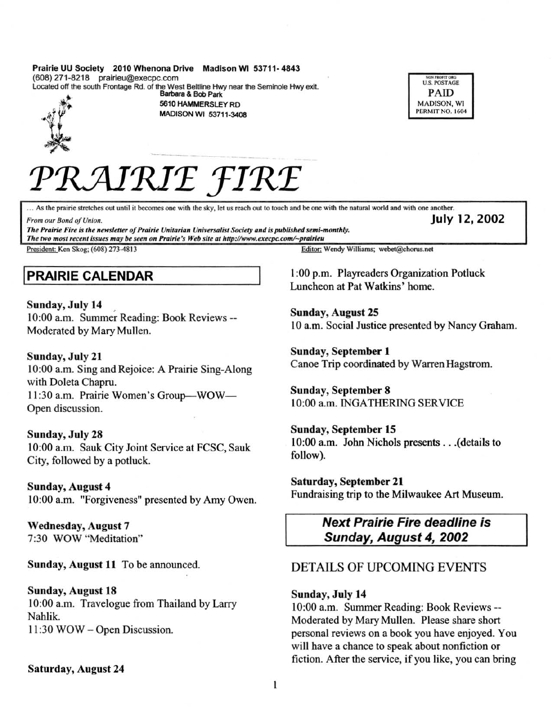#### Prairie UU Society 2010 Whenona Drive Madison WI 53711-4843 (608) 271-8218 prairieu@execpc.com Located off the south Frontage Rd. of the West Beltline Hwy near the Seminole Hwy exit.

Barbara & Bob Park



5610 HAMMERSLEY RD MADISON WI 53711-3408



July 12, 2002

# PRAIRIE FIRE

... As the prairie stretches out until it becomes one with the sky, let us reach out to touch and be one with the natural world and with one another.

From our Bond of Union.

The Prairie Fire is the newsletter of Prairie Unitarian Universalist Society and is published semi-monthly. The two most recent issues may be seen on Prairie's Web site at http://www.execpc.com/~prairieu

President: Ken Skog; (608) 273-4813

## **PRAIRIE CALENDAR**

Sunday, July 14 10:00 a.m. Summer Reading: Book Reviews --Moderated by Mary Mullen.

## Sunday, July 21 10:00 a.m. Sing and Rejoice: A Prairie Sing-Along with Doleta Chapru. 11:30 a.m. Prairie Women's Group-WOW-Open discussion.

## Sunday, July 28

10:00 a.m. Sauk City Joint Service at FCSC, Sauk City, followed by a potluck.

**Sunday, August 4** 10:00 a.m. "Forgiveness" presented by Amy Owen.

**Wednesday, August 7** 7:30 WOW "Meditation"

Sunday, August 11 To be announced.

## **Sunday, August 18** 10:00 a.m. Travelogue from Thailand by Larry Nahlik. 11:30 WOW - Open Discussion.

**Saturday, August 24** 

Editor: Wendy Williams; webet@chorus.net

1:00 p.m. Playreaders Organization Potluck Luncheon at Pat Watkins' home.

**Sunday, August 25** 10 a.m. Social Justice presented by Nancy Graham.

**Sunday, September 1** Canoe Trip coordinated by Warren Hagstrom.

**Sunday, September 8** 10:00 a.m. INGATHERING SERVICE

Sunday, September 15 10:00 a.m. John Nichols presents . . . (details to follow).

Saturday, September 21 Fundraising trip to the Milwaukee Art Museum.

## **Next Prairie Fire deadline is** Sunday, August 4, 2002

## **DETAILS OF UPCOMING EVENTS**

## Sunday, July 14

10:00 a.m. Summer Reading: Book Reviews --Moderated by Mary Mullen. Please share short personal reviews on a book you have enjoyed. You will have a chance to speak about nonfiction or fiction. After the service, if you like, you can bring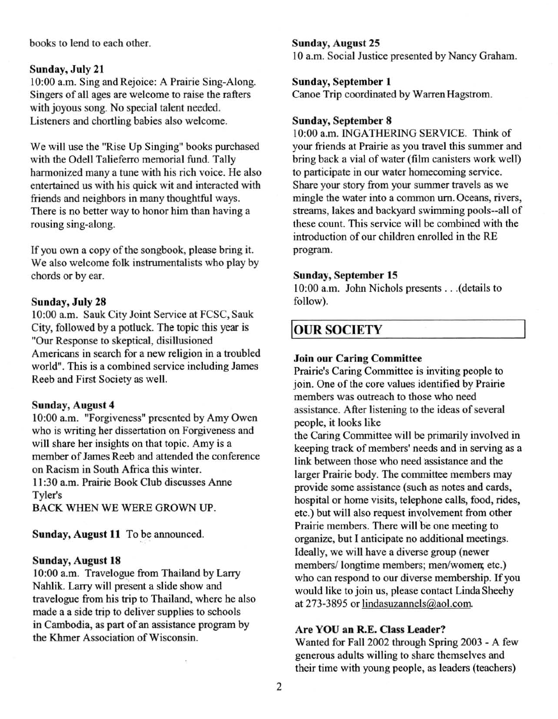books to lend to each other.

#### Sunday, July 21

10:00 a.m. Sing and Rejoice: A Prairie Sing-Along. Singers of all ages are welcome to raise the rafters with joyous song. No special talent needed. Listeners and chortling babies also welcome.

We will use the "Rise Up Singing" books purchased with the Odell Talieferro memorial fund. Tally harmonized many a tune with his rich voice. He also entertained us with his quick wit and interacted with friends and neighbors in many thoughtful ways. There is no better way to honor him than having a rousing sing-along.

If you own a copy of the songbook, please bring it. We also welcome folk instrumentalists who play by chords or by ear.

#### Sunday, July 28

10:00 a.m. Sauk City Joint Service at FCSC, Sauk City, followed by a polluck. The topic this year is "Our Response to skeptical, disillusioned Americans in search for a new religion in a troubled world". This is a combined service including James Reeb and First Society as well.

#### Sunday, August 4

10:00 a.m. "Forgiveness" presented by Amy Owen who is writing her dissertation on Forgiveness and will share her insights on that topic. Amy is a member of James Reeb and attended the conference on Racism in South Africa this winter. II :30 a.m. Prairie Book Club discusses Anne Tyler's

BACK WHEN WE WERE GROWN UP.

Sunday, August **11** To be announced.

#### Sunday, August 18

10:00 a.m. Travelogue from Thailand by Larry Nahlik. Larry will present a slide show and travelogue from his trip to Thailand, where he also made a a side trip to deliver supplies to schools in Cambodia, as part of an assistance program by the Khmer Association of Wisconsin.

#### Sunday, August 25

10 a.m. Social Justice presented by Nancy Graham.

#### Sunday, September I

Canoe Trip coordinated by Warren Hagstrom.

#### Sunday, September 8

10:00 a.m. INGATHERING SERVICE. Think of your friends at Prairie as you travel this summer and bring back a vial of water (film canisters work well) to participate in our water homecoming service. Share your story from your summer travels as we mingle the water into a common urn. Oceans, rivers, streams, lakes and backyard swimming pools--all of these count. This service will be combined with the introduction of our children enrolled in the RE program.

#### Sunday, September 15

10:00 a.m. John Nichols presents . .. (details to follow).

## **OUR SOCIETY**

#### Join our Caring Committee

Prairie's Caring Committee is inviting people to join. One of the core values identified by Prairie members was outreach to those who need assistance. After listening to the ideas of several people, it looks like

the Caring Committee will be primarily involved in keeping track of members' needs and in serving as a link between those who need 'assistance and the larger Prairie body. The committee members may provide some assistance (such as notes and cards, hospital or home visits, telephone calls, food, rides, etc.) but will also request involvement from other Prairie members. There will be one meeting to organize, but I anticipate no additional meetings. Ideally, we will have a diverse group (newer members/ longtime members; men/women; etc.) who can respond to our diverse membership. If you would like to join us, please contact Linda Sheehy at 273-3895 or lindasuzannels@aol.com

#### Are YOU an R.E. Class Leader?

Wanted for Fall 2002 through Spring 2003 - A few generous adults willing to share themselves and their time with young people, as leaders (teachers)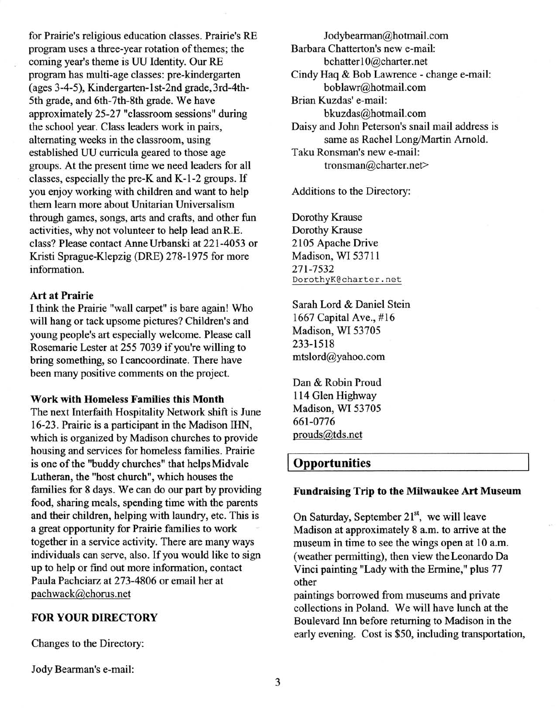for Prairie's religious education classes. Prairie's RE program uses a three-year rotation of themes; the coming year's theme is UU Identity. Our RE program has multi-age classes: pre-kindergarten (ages 3-4-5), Kindergarten-1st-2nd grade, 3rd-4th-5th grade, and 6th-7th-8th grade. We have approximately 25-27 "classroom sessions" during the school year. Class leaders work in pairs, alternating weeks in the classroom, using established UU curricula geared to those age groups. At the present time we need leaders for all classes, especially the pre-K and K-I-2 groups. If you enjoy working with children and want to help them learn more about Unitarian Universalism through games, songs, arts and crafts, and other fun activities, why not volunteer to help lead an R.E. class? Please contact Anne Urbanski at 221-4053 or Kristi Sprague-Klepzig (DRE) 278-1975 for more information.

#### Art at Prairie

I think the Prairie "wall carpet" is bare again! Who will hang or tack upsome pictures? Children's and young people's art especially welcome. Please call Rosemarie Lester at 2557039 if you're willing to bring something, so I cancoordinate. There have been many positive comments on the project.

#### Work with Homeless Families this Month

The next Interfaith Hospitality Network shift is June 16-23. Prairie is a participant in the Madison IHN, which is organized by Madison churches to provide housing and services for homeless families. Prairie is one of the "buddy churches" that helps Midvale Lutheran, the "host church", which houses the families for 8 days. We can do our part by providing food, sharing meals, spending time with the parents and their children, helping with laundry, etc. This is a great opportunity for Prairie families to work together in a service activity. There are many ways individuals can serve, also. If you would like to sign up to help or find out more infonnation, contact Paula Pachciarz at 273-4806 or email her at pachwack@chorus.net

#### FOR YOUR DIRECTORY

Changes to the Directory:

Jody Bearman's e-mail:

Jodybearman@hotmail.com Barbara Chatterton's new e-mail: bchatter I O@charter.net Cindy Haq & Bob Lawrence - change e-mail: boblawr@hotmail.com Brian Kuzdas' e-mail: bkuzdas@hotmail.com Daisy and John Peterson's snail mail address is same as Rachel Long/Martin Arnold. Taku Ronsman's new e-mail: tronsman@charter.net>

Additions to the Directory:

Dorothy Krause Dorothy Krause 2105 Apache Drive Madison, WI 53711 271-7532 DorothyK@charter.net

Sarah Lord & Daniel Stein 1667 Capital Ave., #16 Madison, WI 53705 233-1518 mtslord@yahoo.com

Dan & Robin Proud 114 Glen Highway Madison, WI 53705 661-0776 prouds@tds.net

## **Opportunities**

#### Fundraising Trip to the Milwaukee Art Museum

On Saturday, September 21<sup>st</sup>, we will leave Madison at approximately 8 a.m. to arrive at the museum in time to see the wings open at 10 a.m. (weather pennitting), then view the Leonardo Da Vinci painting "Lady with the Ennine," plus 77 other

paintings borrowed from museums and private collections in Poland. We will have lunch at the Boulevard Inn before returning to Madison in the early evening. Cost is \$50, including transportation,